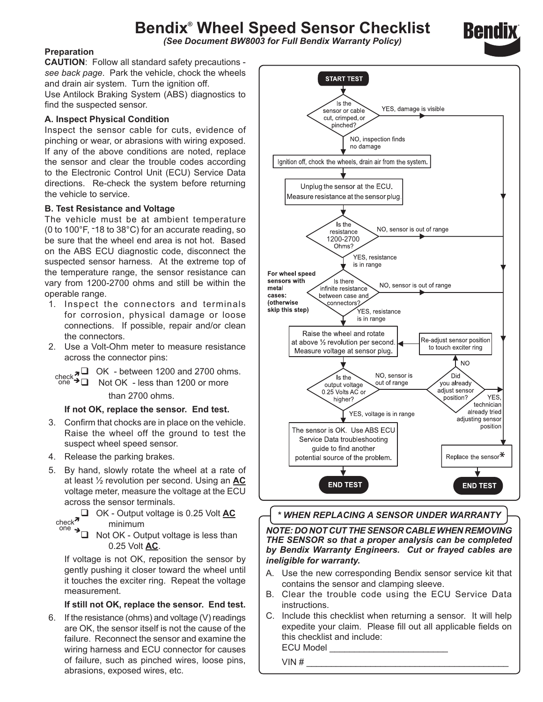# **Bendix® Wheel Speed Sensor Checklist**

*(See Document BW8003 for Full Bendix Warranty Policy)*

### **Preparation**

**CAUTION**: Follow all standard safety precautions *see back page*. Park the vehicle, chock the wheels and drain air system. Turn the ignition off.

Use Antilock Braking System (ABS) diagnostics to find the suspected sensor.

### **A. Inspect Physical Condition**

Inspect the sensor cable for cuts, evidence of pinching or wear, or abrasions with wiring exposed. If any of the above conditions are noted, replace the sensor and clear the trouble codes according to the Electronic Control Unit (ECU) Service Data directions. Re-check the system before returning the vehicle to service.

#### **B. Test Resistance and Voltage**

The vehicle must be at ambient temperature (0 to 100°F, -18 to 38°C) for an accurate reading, so be sure that the wheel end area is not hot. Based on the ABS ECU diagnostic code, disconnect the suspected sensor harness. At the extreme top of the temperature range, the sensor resistance can vary from 1200-2700 ohms and still be within the operable range.

- 1. Inspect the connectors and terminals for corrosion, physical damage or loose connections. If possible, repair and/or clean the connectors.
- 2. Use a Volt-Ohm meter to measure resistance across the connector pins:

check $\overline{3}$  OK - between 1200 and 2700 ohms. Not OK - less than 1200 or more than 2700 ohms. one ≁⊡

#### **If not OK, replace the sensor. End test.**

- 3. Confirm that chocks are in place on the vehicle. Raise the wheel off the ground to test the suspect wheel speed sensor.
- 4. Release the parking brakes.

one

5. By hand, slowly rotate the wheel at a rate of at least ½ revolution per second. Using an **AC** voltage meter, measure the voltage at the ECU across the sensor terminals.

 OK - Output voltage is 0.25 Volt **AC** minimum check $\bar{\text{ }}$ 

 $\triangleq$  Not OK - Output voltage is less than 0.25 Volt **AC**.

If voltage is not OK, reposition the sensor by gently pushing it closer toward the wheel until it touches the exciter ring. Repeat the voltage measurement.

#### **If still not OK, replace the sensor. End test.**

6. If the resistance (ohms) and voltage (V) readings are OK, the sensor itself is not the cause of the failure. Reconnect the sensor and examine the wiring harness and ECU connector for causes of failure, such as pinched wires, loose pins, abrasions, exposed wires, etc.



## *\* WHEN REPLACING A SENSOR UNDER WARRANTY*

*NOTE: DO NOT CUT THE SENSOR CABLE WHEN REMOVING THE SENSOR so that a proper analysis can be completed by Bendix Warranty Engineers. Cut or frayed cables are ineligible for warranty.*

- A. Use the new corresponding Bendix sensor service kit that contains the sensor and clamping sleeve.
- B. Clear the trouble code using the ECU Service Data instructions.
- C. Include this checklist when returning a sensor. It will help expedite your claim. Please fill out all applicable fields on this checklist and include: ECU Model

VIN # \_\_\_\_\_\_\_\_\_\_\_\_\_\_\_\_\_\_\_\_\_\_\_\_\_\_\_\_\_\_\_\_\_\_\_\_\_\_\_\_\_